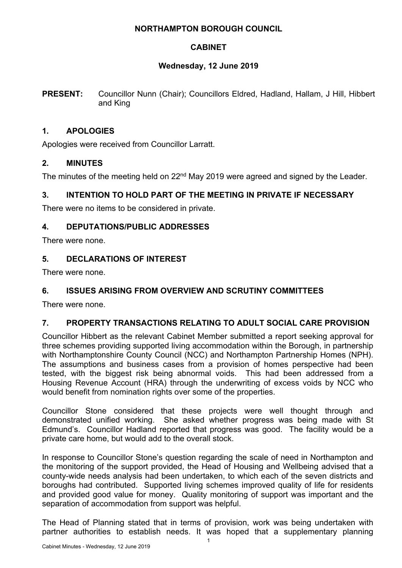## **NORTHAMPTON BOROUGH COUNCIL**

# **CABINET**

## **Wednesday, 12 June 2019**

**PRESENT:** Councillor Nunn (Chair); Councillors Eldred, Hadland, Hallam, J Hill, Hibbert and King

### **1. APOLOGIES**

Apologies were received from Councillor Larratt.

## **2. MINUTES**

The minutes of the meeting held on 22<sup>nd</sup> May 2019 were agreed and signed by the Leader.

# **3. INTENTION TO HOLD PART OF THE MEETING IN PRIVATE IF NECESSARY**

There were no items to be considered in private.

## **4. DEPUTATIONS/PUBLIC ADDRESSES**

There were none.

## **5. DECLARATIONS OF INTEREST**

There were none.

#### **6. ISSUES ARISING FROM OVERVIEW AND SCRUTINY COMMITTEES**

There were none.

#### **7. PROPERTY TRANSACTIONS RELATING TO ADULT SOCIAL CARE PROVISION**

Councillor Hibbert as the relevant Cabinet Member submitted a report seeking approval for three schemes providing supported living accommodation within the Borough, in partnership with Northamptonshire County Council (NCC) and Northampton Partnership Homes (NPH). The assumptions and business cases from a provision of homes perspective had been tested, with the biggest risk being abnormal voids. This had been addressed from a Housing Revenue Account (HRA) through the underwriting of excess voids by NCC who would benefit from nomination rights over some of the properties.

Councillor Stone considered that these projects were well thought through and demonstrated unified working. She asked whether progress was being made with St Edmund's. Councillor Hadland reported that progress was good. The facility would be a private care home, but would add to the overall stock.

In response to Councillor Stone's question regarding the scale of need in Northampton and the monitoring of the support provided, the Head of Housing and Wellbeing advised that a county-wide needs analysis had been undertaken, to which each of the seven districts and boroughs had contributed. Supported living schemes improved quality of life for residents and provided good value for money. Quality monitoring of support was important and the separation of accommodation from support was helpful.

The Head of Planning stated that in terms of provision, work was being undertaken with partner authorities to establish needs. It was hoped that a supplementary planning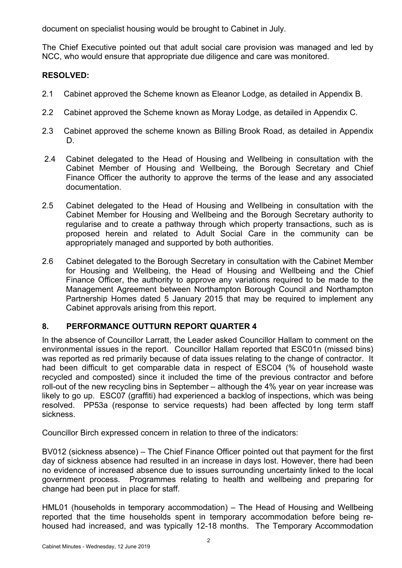document on specialist housing would be brought to Cabinet in July.

The Chief Executive pointed out that adult social care provision was managed and led by NCC, who would ensure that appropriate due diligence and care was monitored.

# **RESOLVED:**

- 2.1 Cabinet approved the Scheme known as Eleanor Lodge, as detailed in Appendix B.
- 2.2 Cabinet approved the Scheme known as Moray Lodge, as detailed in Appendix C.
- 2.3 Cabinet approved the scheme known as Billing Brook Road, as detailed in Appendix D.
- 2.4 Cabinet delegated to the Head of Housing and Wellbeing in consultation with the Cabinet Member of Housing and Wellbeing, the Borough Secretary and Chief Finance Officer the authority to approve the terms of the lease and any associated documentation.
- 2.5 Cabinet delegated to the Head of Housing and Wellbeing in consultation with the Cabinet Member for Housing and Wellbeing and the Borough Secretary authority to regularise and to create a pathway through which property transactions, such as is proposed herein and related to Adult Social Care in the community can be appropriately managed and supported by both authorities.
- 2.6 Cabinet delegated to the Borough Secretary in consultation with the Cabinet Member for Housing and Wellbeing, the Head of Housing and Wellbeing and the Chief Finance Officer, the authority to approve any variations required to be made to the Management Agreement between Northampton Borough Council and Northampton Partnership Homes dated 5 January 2015 that may be required to implement any Cabinet approvals arising from this report.

# **8. PERFORMANCE OUTTURN REPORT QUARTER 4**

In the absence of Councillor Larratt, the Leader asked Councillor Hallam to comment on the environmental issues in the report. Councillor Hallam reported that ESC01n (missed bins) was reported as red primarily because of data issues relating to the change of contractor. It had been difficult to get comparable data in respect of ESC04 (% of household waste recycled and composted) since it included the time of the previous contractor and before roll-out of the new recycling bins in September – although the 4% year on year increase was likely to go up. ESC07 (graffiti) had experienced a backlog of inspections, which was being resolved. PP53a (response to service requests) had been affected by long term staff sickness.

Councillor Birch expressed concern in relation to three of the indicators:

BV012 (sickness absence) – The Chief Finance Officer pointed out that payment for the first day of sickness absence had resulted in an increase in days lost. However, there had been no evidence of increased absence due to issues surrounding uncertainty linked to the local government process. Programmes relating to health and wellbeing and preparing for change had been put in place for staff.

HML01 (households in temporary accommodation) – The Head of Housing and Wellbeing reported that the time households spent in temporary accommodation before being rehoused had increased, and was typically 12-18 months. The Temporary Accommodation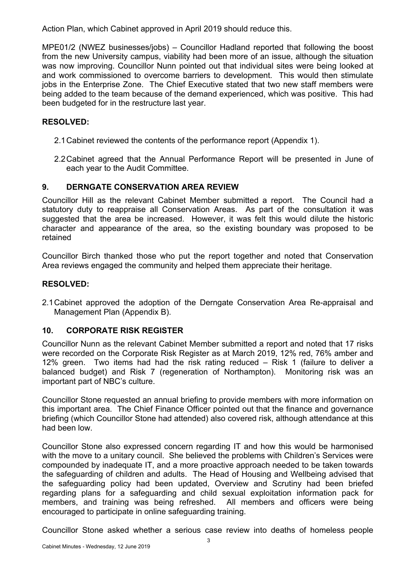Action Plan, which Cabinet approved in April 2019 should reduce this.

MPE01/2 (NWEZ businesses/jobs) – Councillor Hadland reported that following the boost from the new University campus, viability had been more of an issue, although the situation was now improving. Councillor Nunn pointed out that individual sites were being looked at and work commissioned to overcome barriers to development. This would then stimulate jobs in the Enterprise Zone. The Chief Executive stated that two new staff members were being added to the team because of the demand experienced, which was positive. This had been budgeted for in the restructure last year.

### **RESOLVED:**

- 2.1Cabinet reviewed the contents of the performance report (Appendix 1).
- 2.2Cabinet agreed that the Annual Performance Report will be presented in June of each year to the Audit Committee.

## **9. DERNGATE CONSERVATION AREA REVIEW**

Councillor Hill as the relevant Cabinet Member submitted a report. The Council had a statutory duty to reappraise all Conservation Areas. As part of the consultation it was suggested that the area be increased. However, it was felt this would dilute the historic character and appearance of the area, so the existing boundary was proposed to be retained

Councillor Birch thanked those who put the report together and noted that Conservation Area reviews engaged the community and helped them appreciate their heritage.

### **RESOLVED:**

2.1Cabinet approved the adoption of the Derngate Conservation Area Re-appraisal and Management Plan (Appendix B).

# **10. CORPORATE RISK REGISTER**

Councillor Nunn as the relevant Cabinet Member submitted a report and noted that 17 risks were recorded on the Corporate Risk Register as at March 2019, 12% red, 76% amber and 12% green. Two items had had the risk rating reduced – Risk 1 (failure to deliver a balanced budget) and Risk 7 (regeneration of Northampton). Monitoring risk was an important part of NBC's culture.

Councillor Stone requested an annual briefing to provide members with more information on this important area. The Chief Finance Officer pointed out that the finance and governance briefing (which Councillor Stone had attended) also covered risk, although attendance at this had been low.

Councillor Stone also expressed concern regarding IT and how this would be harmonised with the move to a unitary council. She believed the problems with Children's Services were compounded by inadequate IT, and a more proactive approach needed to be taken towards the safeguarding of children and adults. The Head of Housing and Wellbeing advised that the safeguarding policy had been updated, Overview and Scrutiny had been briefed regarding plans for a safeguarding and child sexual exploitation information pack for members, and training was being refreshed. All members and officers were being encouraged to participate in online safeguarding training.

Councillor Stone asked whether a serious case review into deaths of homeless people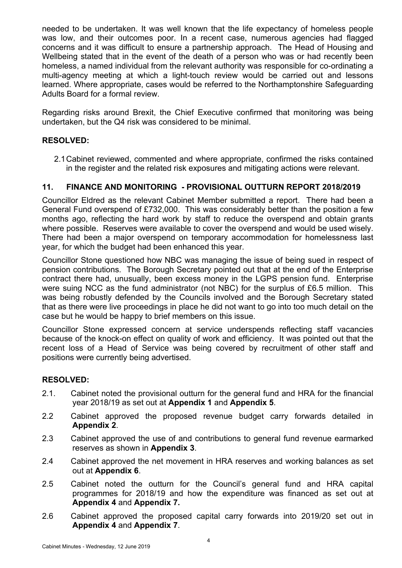needed to be undertaken. It was well known that the life expectancy of homeless people was low, and their outcomes poor. In a recent case, numerous agencies had flagged concerns and it was difficult to ensure a partnership approach. The Head of Housing and Wellbeing stated that in the event of the death of a person who was or had recently been homeless, a named individual from the relevant authority was responsible for co-ordinating a multi-agency meeting at which a light-touch review would be carried out and lessons learned. Where appropriate, cases would be referred to the Northamptonshire Safeguarding Adults Board for a formal review.

Regarding risks around Brexit, the Chief Executive confirmed that monitoring was being undertaken, but the Q4 risk was considered to be minimal.

## **RESOLVED:**

2.1Cabinet reviewed, commented and where appropriate, confirmed the risks contained in the register and the related risk exposures and mitigating actions were relevant.

## **11. FINANCE AND MONITORING - PROVISIONAL OUTTURN REPORT 2018/2019**

Councillor Eldred as the relevant Cabinet Member submitted a report. There had been a General Fund overspend of £732,000. This was considerably better than the position a few months ago, reflecting the hard work by staff to reduce the overspend and obtain grants where possible. Reserves were available to cover the overspend and would be used wisely. There had been a major overspend on temporary accommodation for homelessness last year, for which the budget had been enhanced this year.

Councillor Stone questioned how NBC was managing the issue of being sued in respect of pension contributions. The Borough Secretary pointed out that at the end of the Enterprise contract there had, unusually, been excess money in the LGPS pension fund. Enterprise were suing NCC as the fund administrator (not NBC) for the surplus of £6.5 million. This was being robustly defended by the Councils involved and the Borough Secretary stated that as there were live proceedings in place he did not want to go into too much detail on the case but he would be happy to brief members on this issue.

Councillor Stone expressed concern at service underspends reflecting staff vacancies because of the knock-on effect on quality of work and efficiency. It was pointed out that the recent loss of a Head of Service was being covered by recruitment of other staff and positions were currently being advertised.

#### **RESOLVED:**

- 2.1. Cabinet noted the provisional outturn for the general fund and HRA for the financial year 2018/19 as set out at **Appendix 1** and **Appendix 5**.
- 2.2 Cabinet approved the proposed revenue budget carry forwards detailed in **Appendix 2**.
- 2.3 Cabinet approved the use of and contributions to general fund revenue earmarked reserves as shown in **Appendix 3**.
- 2.4 Cabinet approved the net movement in HRA reserves and working balances as set out at **Appendix 6**.
- 2.5 Cabinet noted the outturn for the Council's general fund and HRA capital programmes for 2018/19 and how the expenditure was financed as set out at **Appendix 4** and **Appendix 7.**
- 2.6 Cabinet approved the proposed capital carry forwards into 2019/20 set out in **Appendix 4** and **Appendix 7**.